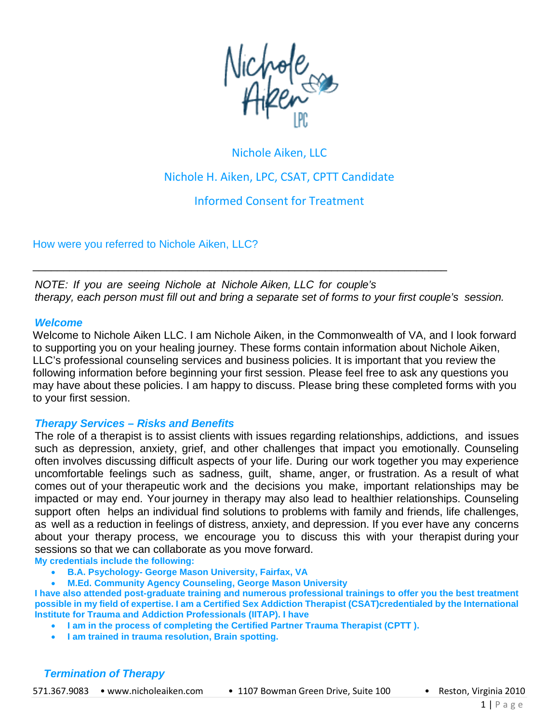

# Nichole Aiken, LLC Nichole H. Aiken, LPC, CSAT, CPTT Candidate

Informed Consent for Treatment

How were you referred to Nichole Aiken, LLC?

*NOTE: If you are seeing Nichole at Nichole Aiken, LLC for couple's therapy, each person must fill out and bring a separate set of forms to your first couple's session.*

\_\_\_\_\_\_\_\_\_\_\_\_\_\_\_\_\_\_\_\_\_\_\_\_\_\_\_\_\_\_\_\_\_\_\_\_\_\_\_\_\_\_\_\_\_\_\_\_\_\_\_\_\_\_\_\_\_\_\_\_\_\_\_\_\_\_\_\_

#### *Welcome*

Welcome to Nichole Aiken LLC. I am Nichole Aiken, in the Commonwealth of VA, and I look forward to supporting you on your healing journey. These forms contain information about Nichole Aiken, LLC's professional counseling services and business policies. It is important that you review the following information before beginning your first session. Please feel free to ask any questions you may have about these policies. I am happy to discuss. Please bring these completed forms with you to your first session.

#### *Therapy Services – Risks and Benefits*

The role of a therapist is to assist clients with issues regarding relationships, addictions, and issues such as depression, anxiety, grief, and other challenges that impact you emotionally. Counseling often involves discussing difficult aspects of your life. During our work together you may experience uncomfortable feelings such as sadness, guilt, shame, anger, or frustration. As a result of what comes out of your therapeutic work and the decisions you make, important relationships may be impacted or may end. Your journey in therapy may also lead to healthier relationships. Counseling support often helps an individual find solutions to problems with family and friends, life challenges, as well as a reduction in feelings of distress, anxiety, and depression. If you ever have any concerns about your therapy process, we encourage you to discuss this with your therapist during your sessions so that we can collaborate as you move forward.

**My credentials include the following:** 

- **B.A. Psychology- George Mason University, Fairfax, VA**
- **M.Ed. Community Agency Counseling, George Mason University**

**I have also attended post-graduate training and numerous professional trainings to offer you the best treatment possible in my field of expertise. I am a Certified Sex Addiction Therapist (CSAT)credentialed by the International Institute for Trauma and Addiction Professionals (IITAP). I have** 

- **I am in the process of completing the Certified Partner Trauma Therapist (CPTT ).**
- **I am trained in trauma resolution, Brain spotting.**

# *Termination of Therapy*

571.367.9083 • [www.nicholeaiken.com](http://www.nicholeaiken.com/) • 1107 Bowman Green Drive, Suite 100 • Reston, Virginia 2010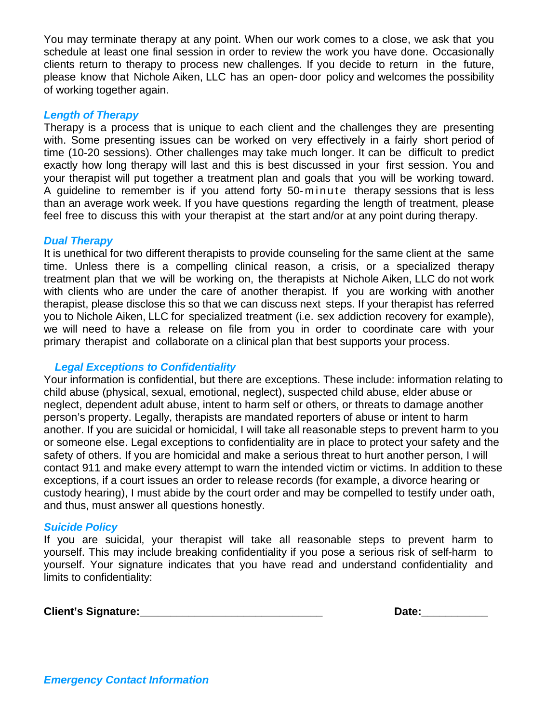You may terminate therapy at any point. When our work comes to a close, we ask that you schedule at least one final session in order to review the work you have done. Occasionally clients return to therapy to process new challenges. If you decide to return in the future, please know that Nichole Aiken, LLC has an open- door policy and welcomes the possibility of working together again.

#### *Length of Therapy*

Therapy is a process that is unique to each client and the challenges they are presenting with. Some presenting issues can be worked on very effectively in a fairly short period of time (10-20 sessions). Other challenges may take much longer. It can be difficult to predict exactly how long therapy will last and this is best discussed in your first session. You and your therapist will put together a treatment plan and goals that you will be working toward. A guideline to remember is if you attend forty 50- minute therapy sessions that is less than an average work week. If you have questions regarding the length of treatment, please feel free to discuss this with your therapist at the start and/or at any point during therapy.

#### *Dual Therapy*

It is unethical for two different therapists to provide counseling for the same client at the same time. Unless there is a compelling clinical reason, a crisis, or a specialized therapy treatment plan that we will be working on, the therapists at Nichole Aiken, LLC do not work with clients who are under the care of another therapist. If you are working with another therapist, please disclose this so that we can discuss next steps. If your therapist has referred you to Nichole Aiken, LLC for specialized treatment (i.e. sex addiction recovery for example), we will need to have a release on file from you in order to coordinate care with your primary therapist and collaborate on a clinical plan that best supports your process.

# *Legal Exceptions to Confidentiality*

Your information is confidential, but there are exceptions. These include: information relating to child abuse (physical, sexual, emotional, neglect), suspected child abuse, elder abuse or neglect, dependent adult abuse, intent to harm self or others, or threats to damage another person's property. Legally, therapists are mandated reporters of abuse or intent to harm another. If you are suicidal or homicidal, I will take all reasonable steps to prevent harm to you or someone else. Legal exceptions to confidentiality are in place to protect your safety and the safety of others. If you are homicidal and make a serious threat to hurt another person, I will contact 911 and make every attempt to warn the intended victim or victims. In addition to these exceptions, if a court issues an order to release records (for example, a divorce hearing or custody hearing), I must abide by the court order and may be compelled to testify under oath, and thus, must answer all questions honestly.

# *Suicide Policy*

If you are suicidal, your therapist will take all reasonable steps to prevent harm to yourself. This may include breaking confidentiality if you pose a serious risk of self-harm to yourself. Your signature indicates that you have read and understand confidentiality and limits to confidentiality:

| <b>Client's Signature:</b> | Date. |
|----------------------------|-------|
|----------------------------|-------|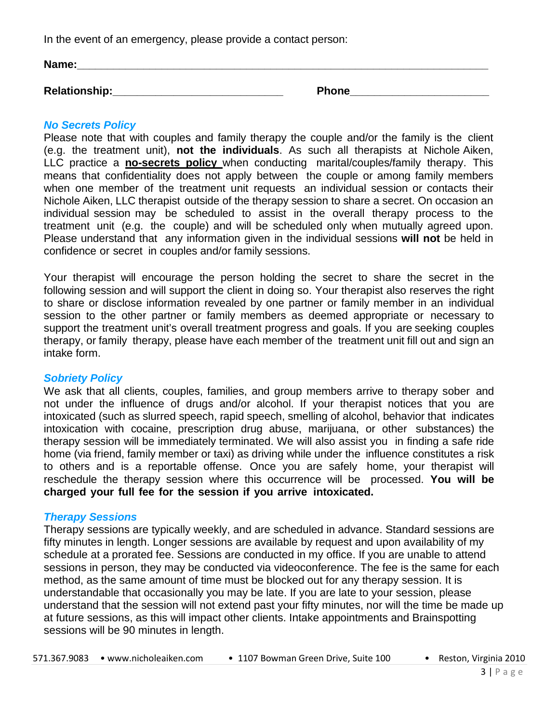In the event of an emergency, please provide a contact person:

| Name:         |              |
|---------------|--------------|
|               |              |
| Relationship: | <b>Phone</b> |

# *No Secrets Policy*

Please note that with couples and family therapy the couple and/or the family is the client (e.g. the treatment unit), **not the individuals**. As such all therapists at Nichole Aiken, LLC practice a **no-secrets policy** when conducting marital/couples/family therapy. This means that confidentiality does not apply between the couple or among family members when one member of the treatment unit requests an individual session or contacts their Nichole Aiken, LLC therapist outside of the therapy session to share a secret. On occasion an individual session may be scheduled to assist in the overall therapy process to the treatment unit (e.g. the couple) and will be scheduled only when mutually agreed upon. Please understand that any information given in the individual sessions **will not** be held in confidence or secret in couples and/or family sessions.

Your therapist will encourage the person holding the secret to share the secret in the following session and will support the client in doing so. Your therapist also reserves the right to share or disclose information revealed by one partner or family member in an individual session to the other partner or family members as deemed appropriate or necessary to support the treatment unit's overall treatment progress and goals. If you are seeking couples therapy, or family therapy, please have each member of the treatment unit fill out and sign an intake form.

# *Sobriety Policy*

We ask that all clients, couples, families, and group members arrive to therapy sober and not under the influence of drugs and/or alcohol. If your therapist notices that you are intoxicated (such as slurred speech, rapid speech, smelling of alcohol, behavior that indicates intoxication with cocaine, prescription drug abuse, marijuana, or other substances) the therapy session will be immediately terminated. We will also assist you in finding a safe ride home (via friend, family member or taxi) as driving while under the influence constitutes a risk to others and is a reportable offense. Once you are safely home, your therapist will reschedule the therapy session where this occurrence will be processed. **You will be charged your full fee for the session if you arrive intoxicated.**

# *Therapy Sessions*

Therapy sessions are typically weekly, and are scheduled in advance. Standard sessions are fifty minutes in length. Longer sessions are available by request and upon availability of my schedule at a prorated fee. Sessions are conducted in my office. If you are unable to attend sessions in person, they may be conducted via videoconference. The fee is the same for each method, as the same amount of time must be blocked out for any therapy session. It is understandable that occasionally you may be late. If you are late to your session, please understand that the session will not extend past your fifty minutes, nor will the time be made up at future sessions, as this will impact other clients. Intake appointments and Brainspotting sessions will be 90 minutes in length.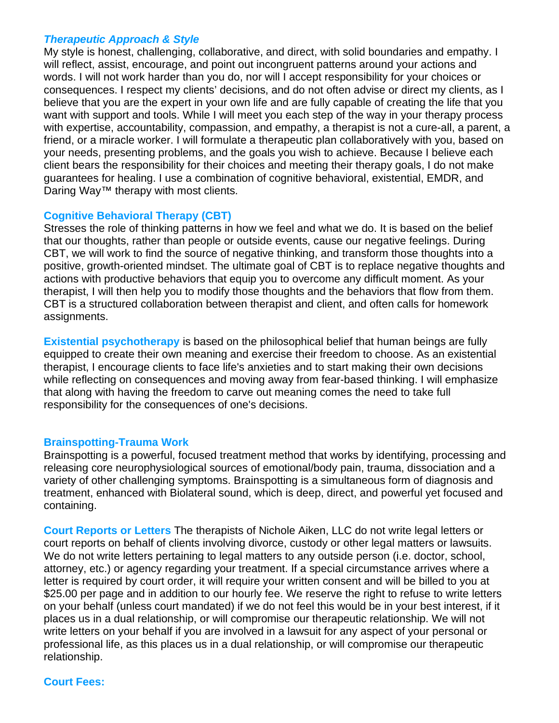# *Therapeutic Approach & Style*

My style is honest, challenging, collaborative, and direct, with solid boundaries and empathy. I will reflect, assist, encourage, and point out incongruent patterns around your actions and words. I will not work harder than you do, nor will I accept responsibility for your choices or consequences. I respect my clients' decisions, and do not often advise or direct my clients, as I believe that you are the expert in your own life and are fully capable of creating the life that you want with support and tools. While I will meet you each step of the way in your therapy process with expertise, accountability, compassion, and empathy, a therapist is not a cure-all, a parent, a friend, or a miracle worker. I will formulate a therapeutic plan collaboratively with you, based on your needs, presenting problems, and the goals you wish to achieve. Because I believe each client bears the responsibility for their choices and meeting their therapy goals, I do not make guarantees for healing. I use a combination of cognitive behavioral, existential, EMDR, and Daring Way™ therapy with most clients.

# **Cognitive Behavioral Therapy (CBT)**

Stresses the role of thinking patterns in how we feel and what we do. It is based on the belief that our thoughts, rather than people or outside events, cause our negative feelings. During CBT, we will work to find the source of negative thinking, and transform those thoughts into a positive, growth-oriented mindset. The ultimate goal of CBT is to replace negative thoughts and actions with productive behaviors that equip you to overcome any difficult moment. As your therapist, I will then help you to modify those thoughts and the behaviors that flow from them. CBT is a structured collaboration between therapist and client, and often calls for homework assignments.

**Existential psychotherapy** is based on the philosophical belief that human beings are fully equipped to create their own meaning and exercise their freedom to choose. As an existential therapist, I encourage clients to face life's anxieties and to start making their own decisions while reflecting on consequences and moving away from fear-based thinking. I will emphasize that along with having the freedom to carve out meaning comes the need to take full responsibility for the consequences of one's decisions.

# **Brainspotting-Trauma Work**

Brainspotting is a powerful, focused treatment method that works by identifying, processing and releasing core neurophysiological sources of emotional/body pain, trauma, dissociation and a variety of other challenging symptoms. Brainspotting is a simultaneous form of diagnosis and treatment, enhanced with Biolateral sound, which is deep, direct, and powerful yet focused and containing.

**Court Reports or Letters** The therapists of Nichole Aiken, LLC do not write legal letters or court reports on behalf of clients involving divorce, custody or other legal matters or lawsuits. We do not write letters pertaining to legal matters to any outside person (i.e. doctor, school, attorney, etc.) or agency regarding your treatment. If a special circumstance arrives where a letter is required by court order, it will require your written consent and will be billed to you at \$25.00 per page and in addition to our hourly fee. We reserve the right to refuse to write letters on your behalf (unless court mandated) if we do not feel this would be in your best interest, if it places us in a dual relationship, or will compromise our therapeutic relationship. We will not write letters on your behalf if you are involved in a lawsuit for any aspect of your personal or professional life, as this places us in a dual relationship, or will compromise our therapeutic relationship.

# **Court Fees:**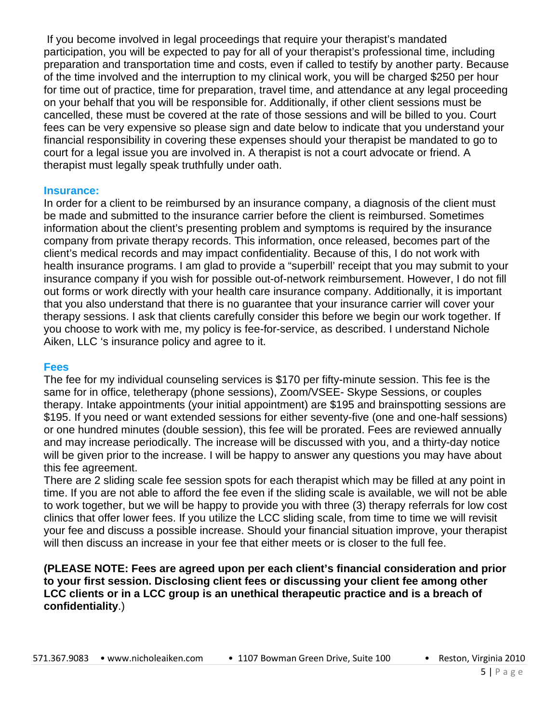If you become involved in legal proceedings that require your therapist's mandated participation, you will be expected to pay for all of your therapist's professional time, including preparation and transportation time and costs, even if called to testify by another party. Because of the time involved and the interruption to my clinical work, you will be charged \$250 per hour for time out of practice, time for preparation, travel time, and attendance at any legal proceeding on your behalf that you will be responsible for. Additionally, if other client sessions must be cancelled, these must be covered at the rate of those sessions and will be billed to you. Court fees can be very expensive so please sign and date below to indicate that you understand your financial responsibility in covering these expenses should your therapist be mandated to go to court for a legal issue you are involved in. A therapist is not a court advocate or friend. A therapist must legally speak truthfully under oath.

#### **Insurance:**

In order for a client to be reimbursed by an insurance company, a diagnosis of the client must be made and submitted to the insurance carrier before the client is reimbursed. Sometimes information about the client's presenting problem and symptoms is required by the insurance company from private therapy records. This information, once released, becomes part of the client's medical records and may impact confidentiality. Because of this, I do not work with health insurance programs. I am glad to provide a "superbill' receipt that you may submit to your insurance company if you wish for possible out-of-network reimbursement. However, I do not fill out forms or work directly with your health care insurance company. Additionally, it is important that you also understand that there is no guarantee that your insurance carrier will cover your therapy sessions. I ask that clients carefully consider this before we begin our work together. If you choose to work with me, my policy is fee-for-service, as described. I understand Nichole Aiken, LLC 's insurance policy and agree to it.

#### **Fees**

The fee for my individual counseling services is \$170 per fifty-minute session. This fee is the same for in office, teletherapy (phone sessions), Zoom/VSEE- Skype Sessions, or couples therapy. Intake appointments (your initial appointment) are \$195 and brainspotting sessions are \$195. If you need or want extended sessions for either seventy-five (one and one-half sessions) or one hundred minutes (double session), this fee will be prorated. Fees are reviewed annually and may increase periodically. The increase will be discussed with you, and a thirty-day notice will be given prior to the increase. I will be happy to answer any questions you may have about this fee agreement.

There are 2 sliding scale fee session spots for each therapist which may be filled at any point in time. If you are not able to afford the fee even if the sliding scale is available, we will not be able to work together, but we will be happy to provide you with three (3) therapy referrals for low cost clinics that offer lower fees. If you utilize the LCC sliding scale, from time to time we will revisit your fee and discuss a possible increase. Should your financial situation improve, your therapist will then discuss an increase in your fee that either meets or is closer to the full fee.

**(PLEASE NOTE: Fees are agreed upon per each client's financial consideration and prior to your first session. Disclosing client fees or discussing your client fee among other LCC clients or in a LCC group is an unethical therapeutic practice and is a breach of confidentiality**.)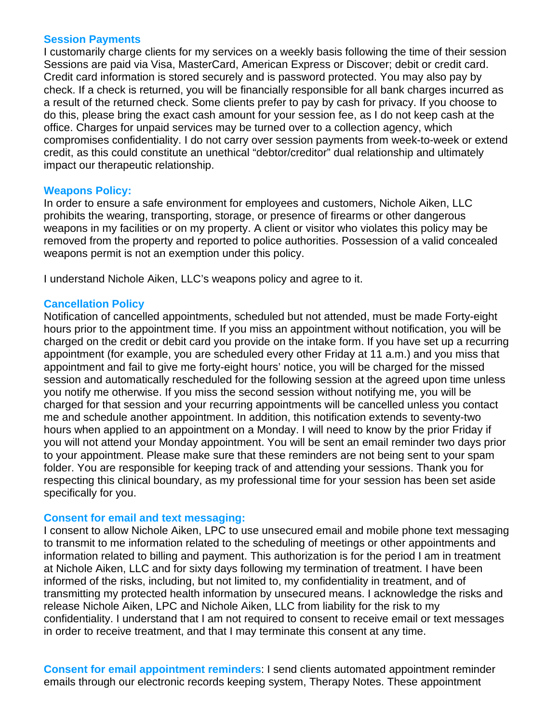#### **Session Payments**

I customarily charge clients for my services on a weekly basis following the time of their session Sessions are paid via Visa, MasterCard, American Express or Discover; debit or credit card. Credit card information is stored securely and is password protected. You may also pay by check. If a check is returned, you will be financially responsible for all bank charges incurred as a result of the returned check. Some clients prefer to pay by cash for privacy. If you choose to do this, please bring the exact cash amount for your session fee, as I do not keep cash at the office. Charges for unpaid services may be turned over to a collection agency, which compromises confidentiality. I do not carry over session payments from week-to-week or extend credit, as this could constitute an unethical "debtor/creditor" dual relationship and ultimately impact our therapeutic relationship.

# **Weapons Policy:**

In order to ensure a safe environment for employees and customers, Nichole Aiken, LLC prohibits the wearing, transporting, storage, or presence of firearms or other dangerous weapons in my facilities or on my property. A client or visitor who violates this policy may be removed from the property and reported to police authorities. Possession of a valid concealed weapons permit is not an exemption under this policy.

I understand Nichole Aiken, LLC's weapons policy and agree to it.

# **Cancellation Policy**

Notification of cancelled appointments, scheduled but not attended, must be made Forty-eight hours prior to the appointment time. If you miss an appointment without notification, you will be charged on the credit or debit card you provide on the intake form. If you have set up a recurring appointment (for example, you are scheduled every other Friday at 11 a.m.) and you miss that appointment and fail to give me forty-eight hours' notice, you will be charged for the missed session and automatically rescheduled for the following session at the agreed upon time unless you notify me otherwise. If you miss the second session without notifying me, you will be charged for that session and your recurring appointments will be cancelled unless you contact me and schedule another appointment. In addition, this notification extends to seventy-two hours when applied to an appointment on a Monday. I will need to know by the prior Friday if you will not attend your Monday appointment. You will be sent an email reminder two days prior to your appointment. Please make sure that these reminders are not being sent to your spam folder. You are responsible for keeping track of and attending your sessions. Thank you for respecting this clinical boundary, as my professional time for your session has been set aside specifically for you.

# **Consent for email and text messaging:**

I consent to allow Nichole Aiken, LPC to use unsecured email and mobile phone text messaging to transmit to me information related to the scheduling of meetings or other appointments and information related to billing and payment. This authorization is for the period I am in treatment at Nichole Aiken, LLC and for sixty days following my termination of treatment. I have been informed of the risks, including, but not limited to, my confidentiality in treatment, and of transmitting my protected health information by unsecured means. I acknowledge the risks and release Nichole Aiken, LPC and Nichole Aiken, LLC from liability for the risk to my confidentiality. I understand that I am not required to consent to receive email or text messages in order to receive treatment, and that I may terminate this consent at any time.

**Consent for email appointment reminders**: I send clients automated appointment reminder emails through our electronic records keeping system, Therapy Notes. These appointment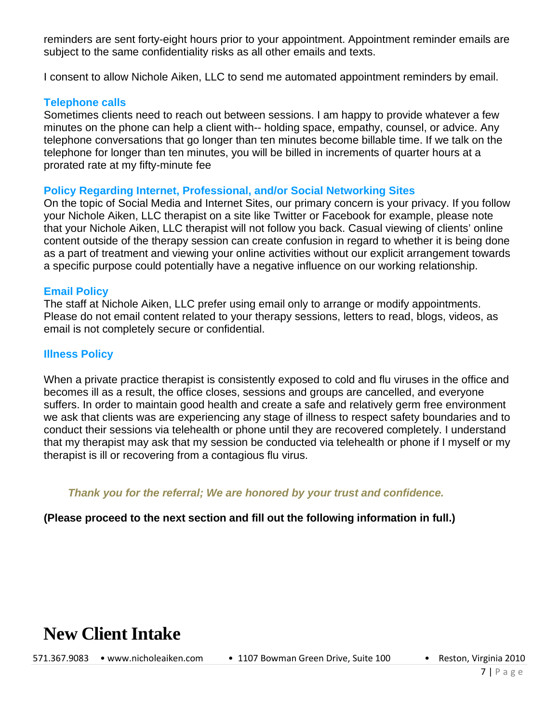reminders are sent forty-eight hours prior to your appointment. Appointment reminder emails are subject to the same confidentiality risks as all other emails and texts.

I consent to allow Nichole Aiken, LLC to send me automated appointment reminders by email.

### **Telephone calls**

Sometimes clients need to reach out between sessions. I am happy to provide whatever a few minutes on the phone can help a client with-- holding space, empathy, counsel, or advice. Any telephone conversations that go longer than ten minutes become billable time. If we talk on the telephone for longer than ten minutes, you will be billed in increments of quarter hours at a prorated rate at my fifty-minute fee

#### **Policy Regarding Internet, Professional, and/or Social Networking Sites**

On the topic of Social Media and Internet Sites, our primary concern is your privacy. If you follow your Nichole Aiken, LLC therapist on a site like Twitter or Facebook for example, please note that your Nichole Aiken, LLC therapist will not follow you back. Casual viewing of clients' online content outside of the therapy session can create confusion in regard to whether it is being done as a part of treatment and viewing your online activities without our explicit arrangement towards a specific purpose could potentially have a negative influence on our working relationship.

#### **Email Policy**

The staff at Nichole Aiken, LLC prefer using email only to arrange or modify appointments. Please do not email content related to your therapy sessions, letters to read, blogs, videos, as email is not completely secure or confidential.

# **Illness Policy**

When a private practice therapist is consistently exposed to cold and flu viruses in the office and becomes ill as a result, the office closes, sessions and groups are cancelled, and everyone suffers. In order to maintain good health and create a safe and relatively germ free environment we ask that clients was are experiencing any stage of illness to respect safety boundaries and to conduct their sessions via telehealth or phone until they are recovered completely. I understand that my therapist may ask that my session be conducted via telehealth or phone if I myself or my therapist is ill or recovering from a contagious flu virus.

*Thank you for the referral; We are honored by your trust and confidence.*

# **(Please proceed to the next section and fill out the following information in full.)**

# **New Client Intake**

571.367.9083 • [www.nicholeaiken.com](http://www.nicholeaiken.com/) • 1107 Bowman Green Drive, Suite 100 • Reston, Virginia 2010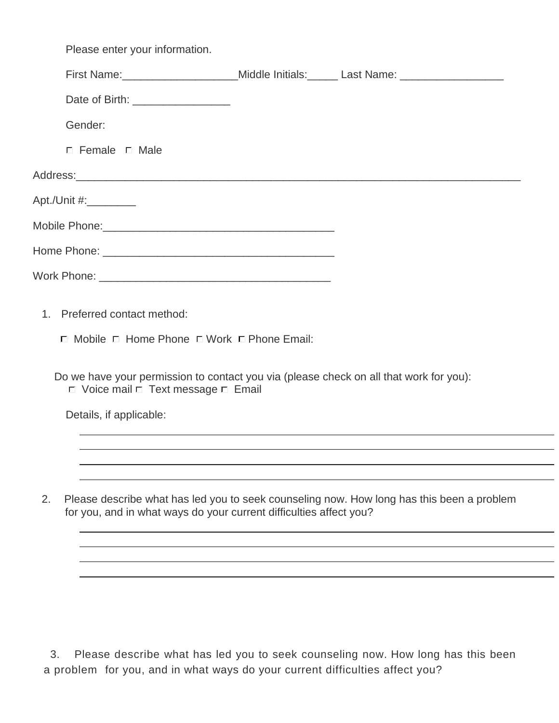|    | Please enter your information.                                                                                                                                                                                                                  |                                                                                                      |
|----|-------------------------------------------------------------------------------------------------------------------------------------------------------------------------------------------------------------------------------------------------|------------------------------------------------------------------------------------------------------|
|    |                                                                                                                                                                                                                                                 | First Name: _______________________Middle Initials: ______ Last Name: ______________________________ |
|    | Date of Birth: ___________________                                                                                                                                                                                                              |                                                                                                      |
|    | Gender:                                                                                                                                                                                                                                         |                                                                                                      |
|    | $\Box$ Female $\Box$ Male                                                                                                                                                                                                                       |                                                                                                      |
|    |                                                                                                                                                                                                                                                 |                                                                                                      |
|    | Apt./Unit #:_________                                                                                                                                                                                                                           |                                                                                                      |
|    |                                                                                                                                                                                                                                                 |                                                                                                      |
|    |                                                                                                                                                                                                                                                 |                                                                                                      |
|    |                                                                                                                                                                                                                                                 |                                                                                                      |
|    | 1. Preferred contact method:<br>$\Box$ Mobile $\Box$ Home Phone $\Box$ Work $\Box$ Phone Email:<br>Do we have your permission to contact you via (please check on all that work for you):<br>$\Box$ Voice mail $\Box$ Text message $\Box$ Email |                                                                                                      |
|    | Details, if applicable:                                                                                                                                                                                                                         |                                                                                                      |
|    |                                                                                                                                                                                                                                                 |                                                                                                      |
|    |                                                                                                                                                                                                                                                 |                                                                                                      |
| 2. | for you, and in what ways do your current difficulties affect you?                                                                                                                                                                              | Please describe what has led you to seek counseling now. How long has this been a problem            |
|    |                                                                                                                                                                                                                                                 |                                                                                                      |
|    |                                                                                                                                                                                                                                                 |                                                                                                      |

 3. Please describe what has led you to seek counseling now. How long has this been a problem for you, and in what ways do your current difficulties affect you?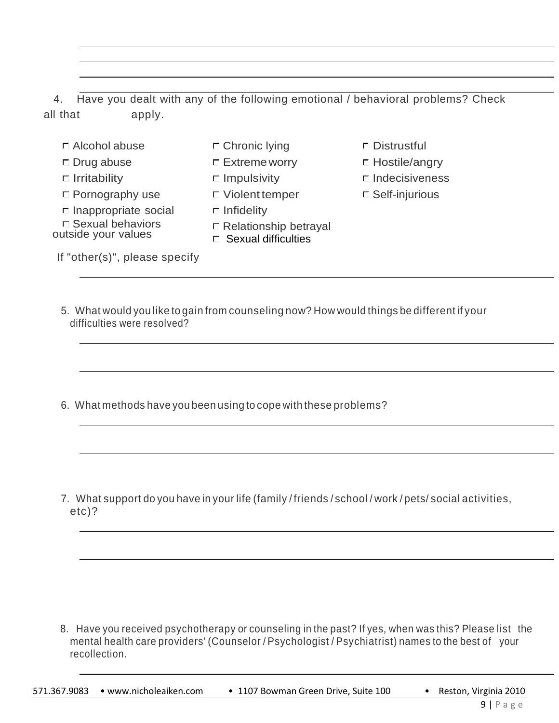4. Have you dealt with any of the following emotional / behavioral problems? Check all that apply.

- $\Box$  Alcohol abuse  $\Box$  Chronic lying  $\Box$  Distrustful
- 
- 
- $\Box$  Pornography use  $\Box$  Violent temper  $\Box$  Self-injurious
- $\square$  Inappropriate social  $\square$  Infidelity
- □ Sexual behaviors<br>outside your values

If "other(s)", please specify

- -
	-
	-
	-
	- $\square$  Relationship betrayal
	- Sexual difficulties
- 
- □ Drug abuse □ Extreme worry □ Hostile/angry
- $\Box$  Irritability  $\Box$  Impulsivity  $\Box$  Indecisiveness
	-

- - 5. What would you like to gain from counseling now? How would things be different if your difficulties were resolved?
	- 6. What methods have you been using to cope with these problems?

 7. What support do you have in your life (family / friends / school / work / pets/ social activities, etc)?

 8. Have you received psychotherapy or counseling in the past? If yes, when was this? Please list the mental health care providers' (Counselor / Psychologist / Psychiatrist) names to the best of your recollection.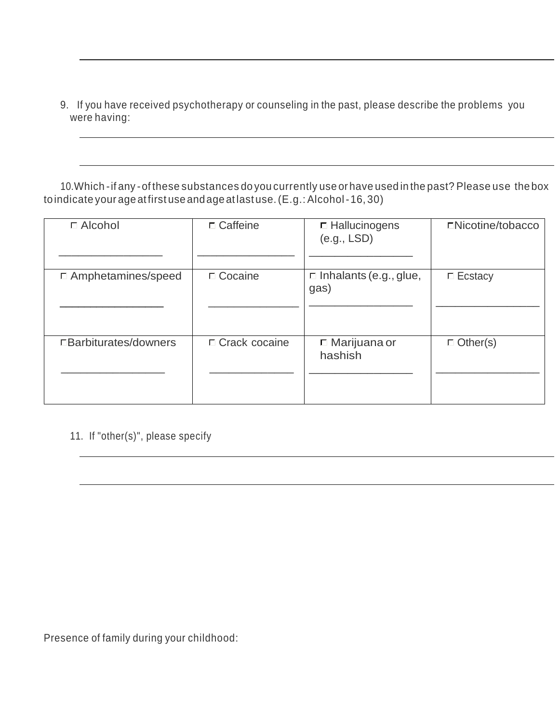9. If you have received psychotherapy or counseling in the past, please describe the problems you were having:

 10.Which -if any -of these substances do you currently use or have used in the past? Please use the box toindicate your age atfirst use andage at last use.(E.g.: Alcohol-16, 30)

| □ Alcohol                 | $\Box$ Caffeine | □ Hallucinogens<br>(e.g., LSD)        | □Nicotine/tobacco |
|---------------------------|-----------------|---------------------------------------|-------------------|
| $\Box$ Amphetamines/speed | □ Cocaine       | $\Box$ Inhalants (e.g., glue,<br>gas) | $\Box$ Ecstacy    |
| □Barbiturates/downers     | □ Crack cocaine | $\Box$ Marijuana or<br>hashish        | $\Box$ Other(s)   |

11. If "other(s)", please specify

Presence of family during your childhood: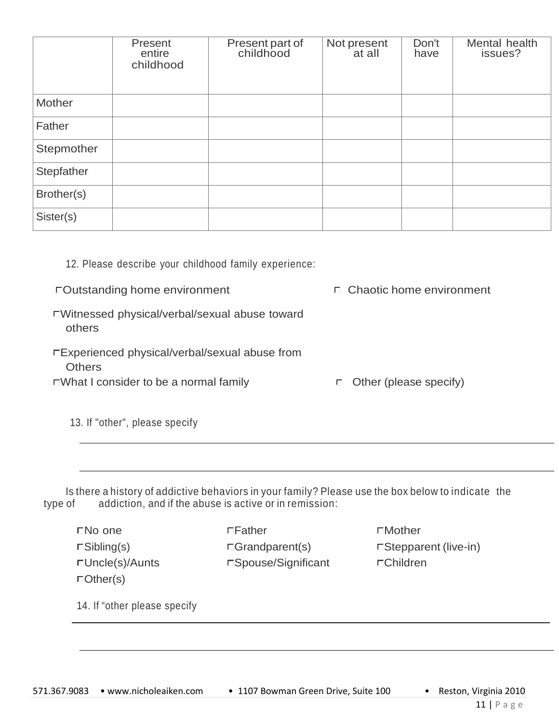|            | Present<br>entire<br>childhood | Present part of<br>childhood | Not present<br>at all | Don't<br>have | Mental health<br>issues? |
|------------|--------------------------------|------------------------------|-----------------------|---------------|--------------------------|
| Mother     |                                |                              |                       |               |                          |
| Father     |                                |                              |                       |               |                          |
| Stepmother |                                |                              |                       |               |                          |
| Stepfather |                                |                              |                       |               |                          |
| Brother(s) |                                |                              |                       |               |                          |
| Sister(s)  |                                |                              |                       |               |                          |

# 12. Please describe your childhood family experience:

□Outstanding home environment Chaotic home environment

- Witnessed physical/verbal/sexual abuse toward others
- Experienced physical/verbal/sexual abuse from **Others**

 $\square$ What I consider to be a normal family  $\square$  Other (please specify)

13. If "other", please specify

Is there a history of addictive behaviors in your family? Please use the box below to indicate the type of addiction, and if the abuse is active or in remission:

Other(s)

No one Father Mother Uncle(s)/Aunts Spouse/Significant Children

 $\Box$ Sibling(s)  $\Box$ Grandparent(s)  $\Box$ Stepparent (live-in)

14. If "other please specify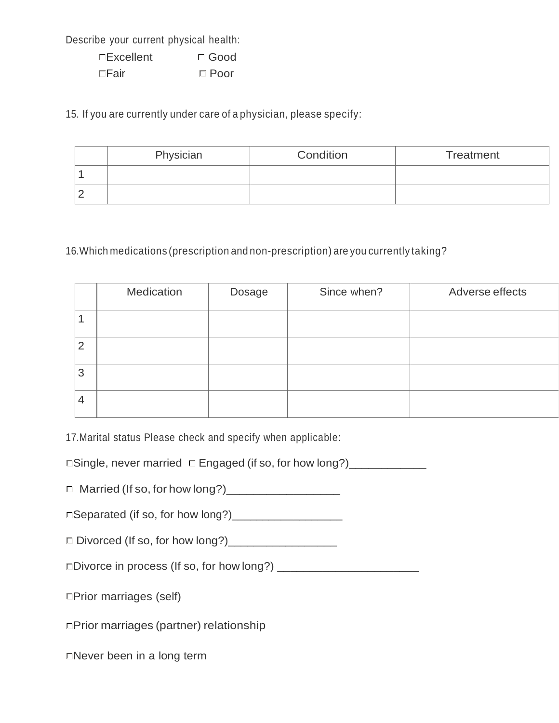Describe your current physical health:

| □Excellent  | $\Box$ Good |
|-------------|-------------|
| $\Box$ Fair | $\Box$ Poor |

15. If you are currently under care of a physician, please specify:

| Physician | Condition | Treatment |
|-----------|-----------|-----------|
|           |           |           |
|           |           |           |

# 16.Which medications (prescription and non-prescription) are you currently taking?

|   | Medication | Dosage | Since when? | Adverse effects |
|---|------------|--------|-------------|-----------------|
|   |            |        |             |                 |
| 2 |            |        |             |                 |
| 3 |            |        |             |                 |
| 4 |            |        |             |                 |

17.Marital status Please check and specify when applicable:

□Single, never married □ Engaged (if so, for how long?)\_\_\_\_\_\_\_\_\_\_\_\_\_\_\_\_\_\_\_\_\_\_\_\_\_

Married (If so, for how long?)\_\_\_\_\_\_\_\_\_\_\_\_\_\_\_\_\_

Separated (if so, for how long?)\_\_\_\_\_\_\_\_\_\_\_\_\_\_\_\_\_\_

Divorced (If so, for how long?)\_\_\_\_\_\_\_\_\_\_\_\_\_\_\_\_\_

Divorce in process (If so, for how long?) \_\_\_\_\_\_\_\_\_\_\_\_\_\_\_\_\_\_\_\_\_\_

□Prior marriages (self)

Prior marriages (partner) relationship

Never been in a long term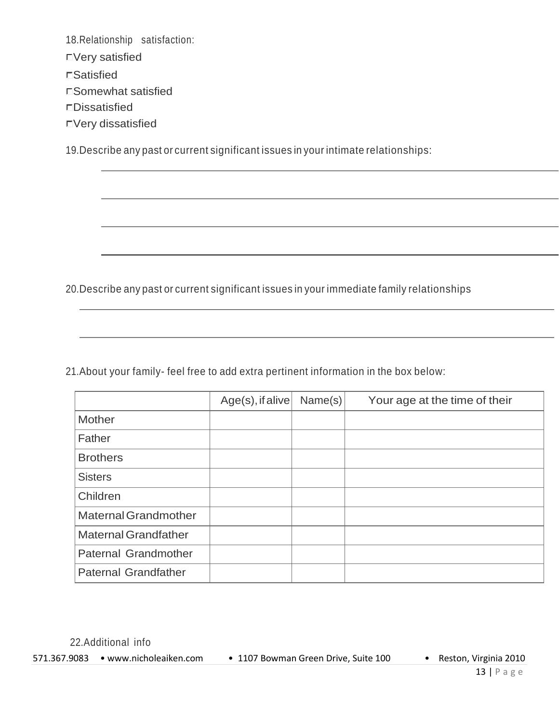18.Relationship satisfaction: Very satisfied Satisfied Somewhat satisfied Dissatisfied

Very dissatisfied

19.Describe any past or current significant issues in your intimate relationships:

20.Describe any past or current significant issues in your immediate family relationships

21.About your family- feel free to add extra pertinent information in the box below:

|                             | $Age(s)$ , if alive | Name(s) | Your age at the time of their |
|-----------------------------|---------------------|---------|-------------------------------|
| <b>Mother</b>               |                     |         |                               |
| Father                      |                     |         |                               |
| <b>Brothers</b>             |                     |         |                               |
| <b>Sisters</b>              |                     |         |                               |
| Children                    |                     |         |                               |
| <b>Maternal Grandmother</b> |                     |         |                               |
| <b>Maternal Grandfather</b> |                     |         |                               |
| Paternal Grandmother        |                     |         |                               |
| <b>Paternal Grandfather</b> |                     |         |                               |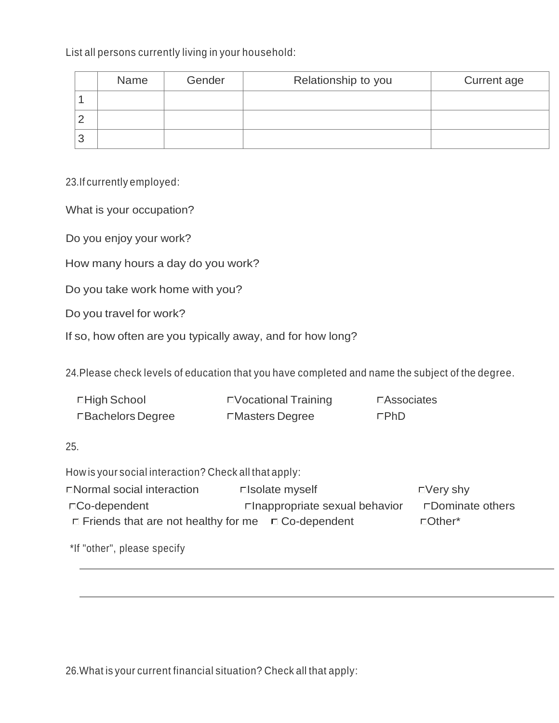List all persons currently living in your household:

| Name | Gender | Relationship to you | Current age |
|------|--------|---------------------|-------------|
|      |        |                     |             |
|      |        |                     |             |
|      |        |                     |             |

23.If currently employed:

What is your occupation?

Do you enjoy your work?

How many hours a day do you work?

Do you take work home with you?

Do you travel for work?

If so, how often are you typically away, and for how long?

24.Please check levels of education that you have completed and name the subject of the degree.

| □High School       | □ Vocational Training | □ Associates |
|--------------------|-----------------------|--------------|
| □ Bachelors Degree | □Masters Degree       | ⊏PhD         |

25.

How is your social interaction? Check all that apply:

| □ Normal social interaction                                    | □ solate myself                 | $\Box$ Very shy  |
|----------------------------------------------------------------|---------------------------------|------------------|
| $\Box$ Co-dependent                                            | □ Inappropriate sexual behavior | □Dominate others |
| $\Box$ Friends that are not healthy for me $\Box$ Co-dependent |                                 | $\Box$ Other*    |

\*If "other", please specify

26.What is your current financial situation? Check all that apply: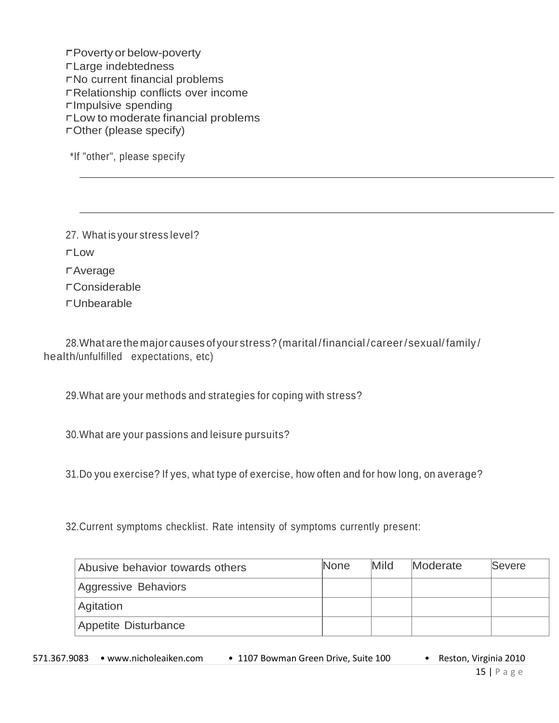Povertyor below-poverty Large indebtedness No current financial problems Relationship conflicts over income Impulsive spending Low to moderate financial problems Other (please specify)

\*If "other", please specify

27. What is your stress level? **Low** Average □Considerable Unbearable

28.What are the major causes ofyour stress? (marital /financial /career/sexual/ family / health/unfulfilled expectations, etc)

29.What are your methods and strategies for coping with stress?

30.What are your passions and leisure pursuits?

31.Do you exercise? If yes, what type of exercise, how often and for how long, on average?

32.Current symptoms checklist. Rate intensity of symptoms currently present:

| Abusive behavior towards others | <b>None</b> | Mild | Moderate | Severe |
|---------------------------------|-------------|------|----------|--------|
| Aggressive Behaviors            |             |      |          |        |
| <b>Agitation</b>                |             |      |          |        |
| Appetite Disturbance            |             |      |          |        |

| 571.367.9083 • www.nicholeaiken.com | • 1107 Bowman Green Drive, Suite 100 | Reston, Virginia 2010 |
|-------------------------------------|--------------------------------------|-----------------------|
|                                     |                                      |                       |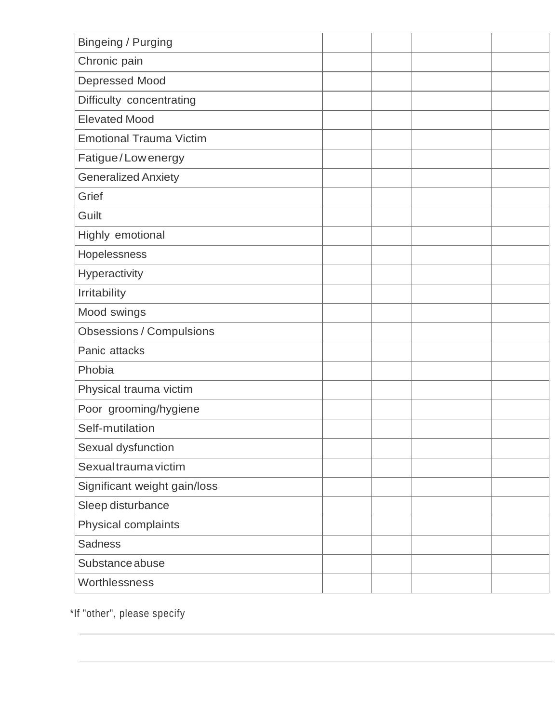| <b>Bingeing / Purging</b>       |  |  |
|---------------------------------|--|--|
| Chronic pain                    |  |  |
| Depressed Mood                  |  |  |
| Difficulty concentrating        |  |  |
| <b>Elevated Mood</b>            |  |  |
| <b>Emotional Trauma Victim</b>  |  |  |
| Fatigue/Lowenergy               |  |  |
| <b>Generalized Anxiety</b>      |  |  |
| Grief                           |  |  |
| Guilt                           |  |  |
| Highly emotional                |  |  |
| Hopelessness                    |  |  |
| Hyperactivity                   |  |  |
| Irritability                    |  |  |
| Mood swings                     |  |  |
| <b>Obsessions / Compulsions</b> |  |  |
| Panic attacks                   |  |  |
| Phobia                          |  |  |
| Physical trauma victim          |  |  |
| Poor grooming/hygiene           |  |  |
| Self-mutilation                 |  |  |
| Sexual dysfunction              |  |  |
| Sexual trauma victim            |  |  |
| Significant weight gain/loss    |  |  |
| Sleep disturbance               |  |  |
| Physical complaints             |  |  |
| <b>Sadness</b>                  |  |  |
| Substance abuse                 |  |  |
| Worthlessness                   |  |  |

\*If "other", please specify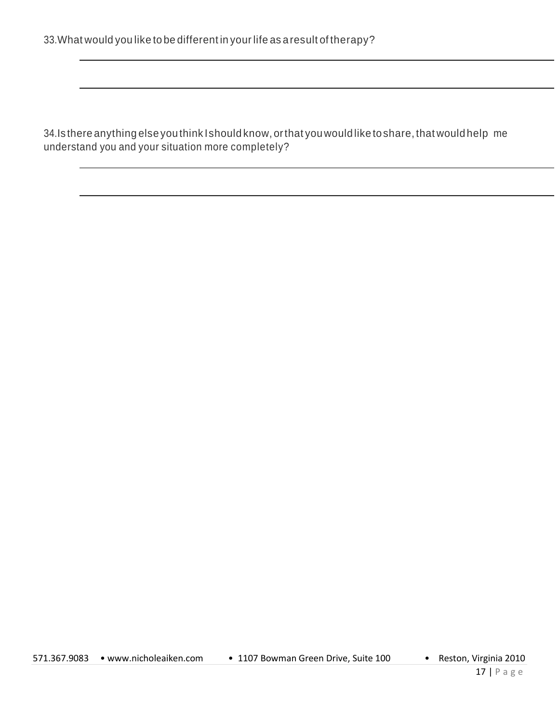34.Is there anything else you think Ishould know, orthat youwould like toshare, that would help me understand you and your situation more completely?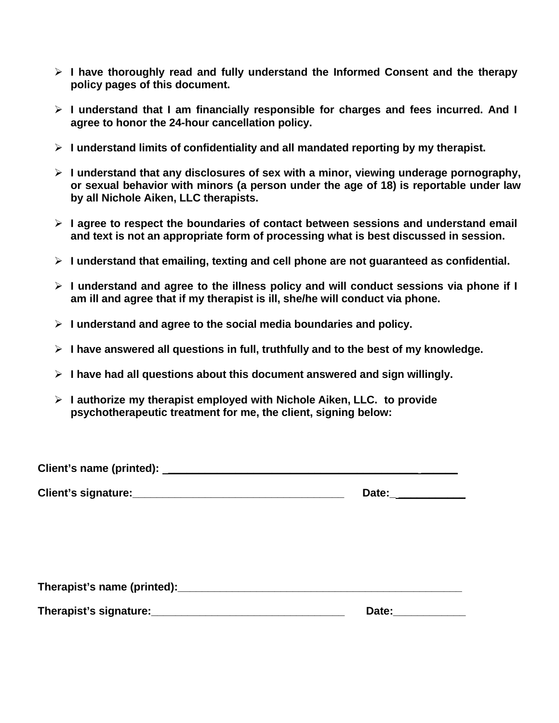- **I have thoroughly read and fully understand the Informed Consent and the therapy policy pages of this document.**
- **I understand that I am financially responsible for charges and fees incurred. And I agree to honor the 24-hour cancellation policy.**
- **I understand limits of confidentiality and all mandated reporting by my therapist.**
- **I understand that any disclosures of sex with a minor, viewing underage pornography, or sexual behavior with minors (a person under the age of 18) is reportable under law by all Nichole Aiken, LLC therapists.**
- **I agree to respect the boundaries of contact between sessions and understand email and text is not an appropriate form of processing what is best discussed in session.**
- **I understand that emailing, texting and cell phone are not guaranteed as confidential.**
- **I understand and agree to the illness policy and will conduct sessions via phone if I am ill and agree that if my therapist is ill, she/he will conduct via phone.**
- **I understand and agree to the social media boundaries and policy.**
- **I have answered all questions in full, truthfully and to the best of my knowledge.**
- **I have had all questions about this document answered and sign willingly.**
- **I authorize my therapist employed with Nichole Aiken, LLC. to provide psychotherapeutic treatment for me, the client, signing below:**

| Client's name (printed): |  |
|--------------------------|--|
|--------------------------|--|

**Client's signature:**  $\blacksquare$ 

| Date: |  |
|-------|--|
|       |  |

| Therapist's name (printed): |  |  |
|-----------------------------|--|--|
|                             |  |  |

**Therapist's signature:**  $\blacksquare$ 

| $\sim$<br>ירפו<br>. .<br>Dal <del>c</del> . |  |
|---------------------------------------------|--|
|                                             |  |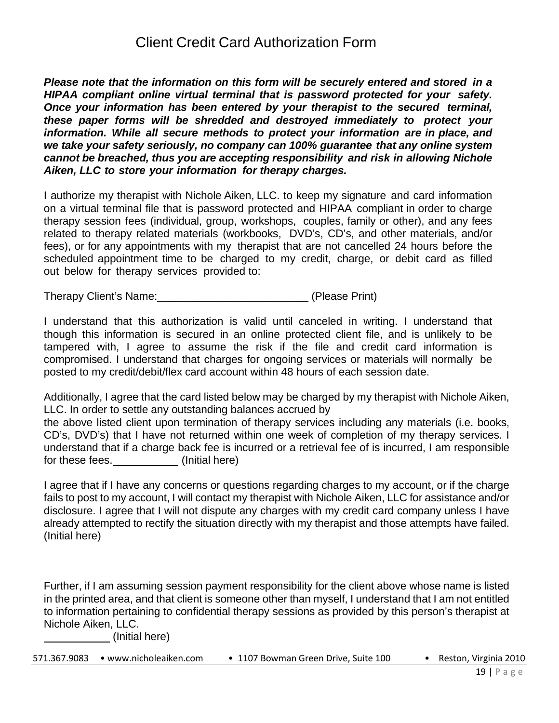*Please note that the information on this form will be securely entered and stored in a HIPAA compliant online virtual terminal that is password protected for your safety. Once your information has been entered by your therapist to the secured terminal, these paper forms will be shredded and destroyed immediately to protect your information. While all secure methods to protect your information are in place, and we take your safety seriously, no company can 100% guarantee that any online system cannot be breached, thus you are accepting responsibility and risk in allowing Nichole Aiken, LLC to store your information for therapy charges.*

I authorize my therapist with Nichole Aiken, LLC. to keep my signature and card information on a virtual terminal file that is password protected and HIPAA compliant in order to charge therapy session fees (individual, group, workshops, couples, family or other), and any fees related to therapy related materials (workbooks, DVD's, CD's, and other materials, and/or fees), or for any appointments with my therapist that are not cancelled 24 hours before the scheduled appointment time to be charged to my credit, charge, or debit card as filled out below for therapy services provided to:

Therapy Client's Name:\_\_\_\_\_\_\_\_\_\_\_\_\_\_\_\_\_\_\_\_\_\_\_\_\_ (Please Print)

I understand that this authorization is valid until canceled in writing. I understand that though this information is secured in an online protected client file, and is unlikely to be tampered with, I agree to assume the risk if the file and credit card information is compromised. I understand that charges for ongoing services or materials will normally be posted to my credit/debit/flex card account within 48 hours of each session date.

Additionally, I agree that the card listed below may be charged by my therapist with Nichole Aiken, LLC. In order to settle any outstanding balances accrued by

the above listed client upon termination of therapy services including any materials (i.e. books, CD's, DVD's) that I have not returned within one week of completion of my therapy services. I understand that if a charge back fee is incurred or a retrieval fee of is incurred, I am responsible for these fees. \_\_\_\_\_\_\_\_\_\_\_\_\_(Initial here)

I agree that if I have any concerns or questions regarding charges to my account, or if the charge fails to post to my account, I will contact my therapist with Nichole Aiken, LLC for assistance and/or disclosure. I agree that I will not dispute any charges with my credit card company unless I have already attempted to rectify the situation directly with my therapist and those attempts have failed. (Initial here)

Further, if I am assuming session payment responsibility for the client above whose name is listed in the printed area, and that client is someone other than myself, I understand that I am not entitled to information pertaining to confidential therapy sessions as provided by this person's therapist at Nichole Aiken, LLC.

(Initial here)

| 571.367.9083 • www.nicholeaiken.com | • 1107 Bowman Green Drive, Suite 100 |  | Reston, Virginia 2010 |
|-------------------------------------|--------------------------------------|--|-----------------------|
|-------------------------------------|--------------------------------------|--|-----------------------|